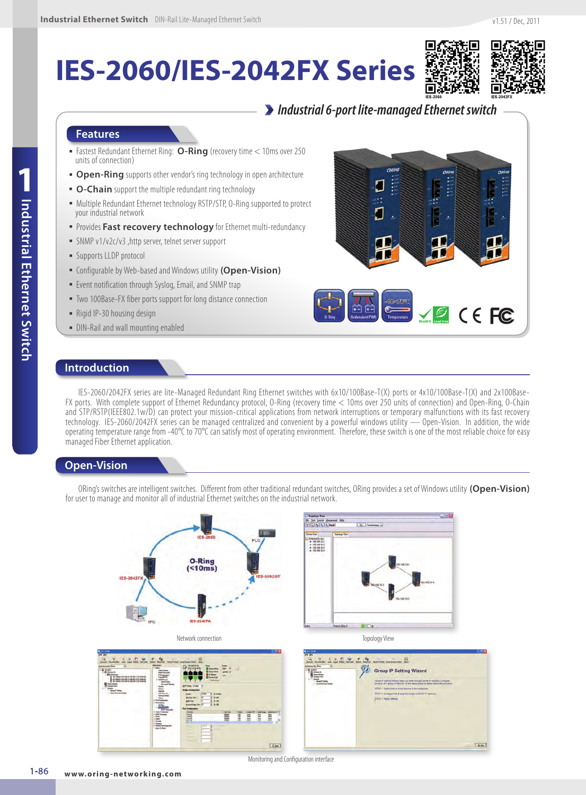# **IES-2060/IES-2042FX Series**



## *Industrial 6-port lite-managed Ethernet switch*

#### **Features**

- Fastest Redundant Ethernet Ring: **O-Ring** (recovery time < 10ms over 250 units of connection)
- **Open-Ring** supports other vendor's ring technology in open architecture
- **O-Chain** support the multiple redundant ring technology
- Multiple Redundant Ethernet technology RSTP/STP, O-Ring supported to protect your industrial network
- **· Provides Fast recovery technology** for Ethernet multi-redundancy
- SNMP v1/v2c/v3 ,http server, telnet server support
- **E** Supports LLDP protocol
- Configurable by Web-based and Windows utility **(Open-Vision)**
- **Exent notification through Syslog, Email, and SNMP trap**
- Two 100Base-FX fiber ports support for long distance connection
- Rigid IP-30 housing design
- DIN-Rail and wall mounting enabled



### **Introduction**

IES-2060/2042FX series are lite-Managed Redundant Ring Ethernet switches with 6x10/100Base-T(X) ports or 4x10/100Base-T(X) and 2x100Base-FX ports. With complete support of Ethernet Redundancy protocol, O-Ring (recovery time < 10ms over 250 units of connection) and Open-Ring, O-Chain and STP/RSTP(IEEE802.1w/D) can protect your mission-critical applications from network interruptions or temporary malfunctions with its fast recovery technology. IES-2060/2042FX series can be managed centralized and convenient by a powerful windows utility — Open-Vision. In addition, the wide operating temperature range from -40 $^{\circ}$ C to 70 $^{\circ}$ C can satisfy most of operating environment. Therefore, these switch is one of the most reliable choice for easy managed Fiber Ethernet application.

#### **Open-Vision**

ORing's switches are intelligent switches. Different from other traditional redundant switches, ORing provides a set of Windows utility **(Open-Vision)**  for user to manage and monitor all of industrial Ethernet switches on the industrial network.